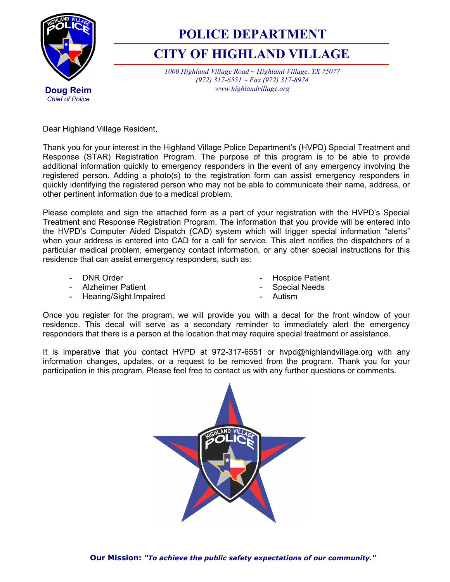

## **POLICE DEPARTMENT**

## **CITY OF HIGHLAND VILLAGE**

*1000 Highland Village Road ~ Highland Village, TX 75077 (972) 317-6551 ~ Fax (972) 317-8974 www.highlandvillage.org* 

Dear Highland Village Resident,

Thank you for your interest in the Highland Village Police Department's (HVPD) Special Treatment and Response (STAR) Registration Program. The purpose of this program is to be able to provide additional information quickly to emergency responders in the event of any emergency involving the registered person. Adding a photo(s) to the registration form can assist emergency responders in quickly identifying the registered person who may not be able to communicate their name, address, or other pertinent information due to a medical problem.

Please complete and sign the attached form as a part of your registration with the HVPD's Special Treatment and Response Registration Program. The information that you provide will be entered into the HVPD's Computer Aided Dispatch (CAD) system which will trigger special information "alerts" when your address is entered into CAD for a call for service. This alert notifies the dispatchers of a particular medical problem, emergency contact information, or any other special instructions for this residence that can assist emergency responders, such as:

- DNR Order
- Alzheimer Patient

- Hospice Patient - Special Needs

- Hearing/Sight Impaired

- Autism

Once you register for the program, we will provide you with a decal for the front window of your residence. This decal will serve as a secondary reminder to immediately alert the emergency responders that there is a person at the location that may require special treatment or assistance.

It is imperative that you contact HVPD at 972-317-6551 or hvpd@highlandvillage.org with any information changes, updates, or a request to be removed from the program. Thank you for your participation in this program. Please feel free to contact us with any further questions or comments.